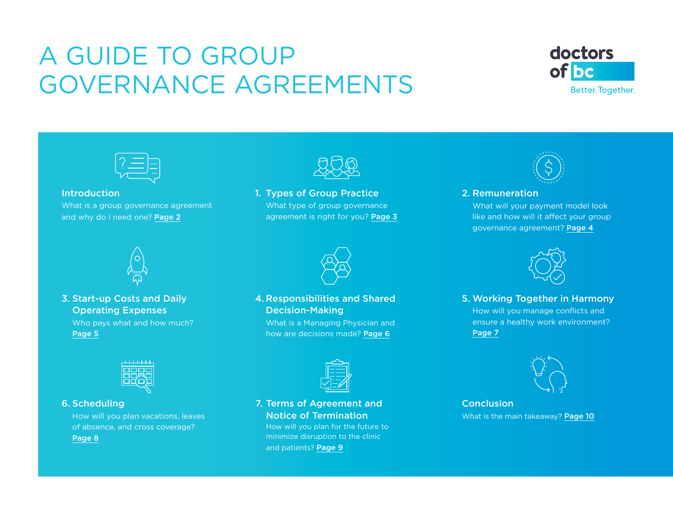# <span id="page-0-0"></span>A GUIDE TO GROUP GOVERNANCE AGREEMENTS





#### **Introduction**

[What is a group governance agreement](#page-1-0)  and why do I need one? Page 2



#### 3. [Start-up Costs and Daily](#page-4-0)  Operating Expenses Who pays what and how much? Page 5



1. [Types of Group Practice](#page-2-0) What type of group governance

agreement is right for you? Page 3



#### 4. [Responsibilities and Shared](#page-5-0)  Decision-Making What is a Managing Physician and how are decisions made? Page 6

|  | ٠ |  |
|--|---|--|
|  |   |  |

#### 7. [Terms of Agreement and](#page-8-0)  Notice of Termination

How will you plan for the future to minimize disruption to the clinic and patients? Page 9



#### 2. Remuneration

What will your payment model look [like and how will it affect your group](#page-3-0)  governance agreement? Page 4



5. [Working Together in Harmony](#page-6-0)  How will you manage conflicts and ensure a healthy work environment? Page 7



Conclusion [What is the main takeaway?](#page-9-0) Page 10



#### 6. Scheduling

[How will you plan vacations, leaves](#page-7-0)  of absence, and cross coverage? Page 8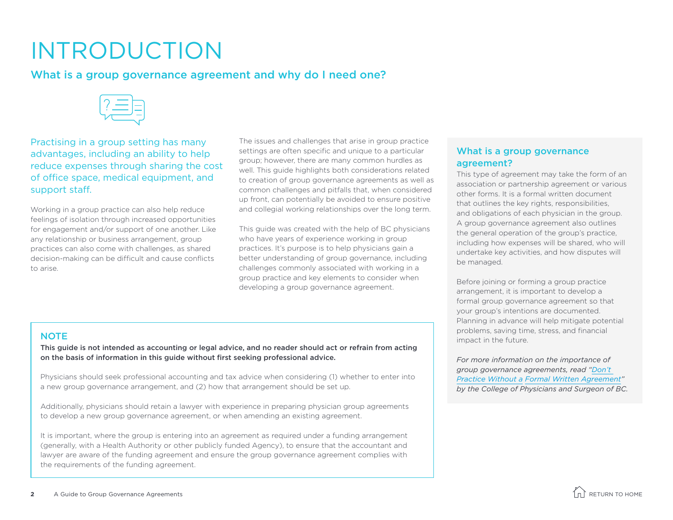# <span id="page-1-0"></span>INTRODUCTION

### What is a group governance agreement and why do I need one?



Practising in a group setting has many advantages, including an ability to help reduce expenses through sharing the cost of office space, medical equipment, and support staff.

Working in a group practice can also help reduce feelings of isolation through increased opportunities for engagement and/or support of one another. Like any relationship or business arrangement, group practices can also come with challenges, as shared decision-making can be difficult and cause conflicts to arise.

The issues and challenges that arise in group practice settings are often specific and unique to a particular group; however, there are many common hurdles as well. This guide highlights both considerations related to creation of group governance agreements as well as common challenges and pitfalls that, when considered up front, can potentially be avoided to ensure positive and collegial working relationships over the long term.

This guide was created with the help of BC physicians who have years of experience working in group practices. It's purpose is to help physicians gain a better understanding of group governance, including challenges commonly associated with working in a group practice and key elements to consider when developing a group governance agreement.

#### What is a group governance agreement?

This type of agreement may take the form of an association or partnership agreement or various other forms. It is a formal written document that outlines the key rights, responsibilities, and obligations of each physician in the group. A group governance agreement also outlines the general operation of the group's practice, including how expenses will be shared, who will undertake key activities, and how disputes will be managed.

Before joining or forming a group practice arrangement, it is important to develop a formal group governance agreement so that your group's intentions are documented. Planning in advance will help mitigate potential problems, saving time, stress, and financial impact in the future.

*For more information on the importance of group governance agreements, read ["Don't](https://www.cpsbc.ca/for-physicians/college-connector/2015-V03-02/05)  Practice Without a [Formal Written Agreement](https://www.cpsbc.ca/for-physicians/college-connector/2015-V03-02/05)" by the College of Physicians and Surgeon of BC.*

#### **NOTE**

This guide is not intended as accounting or legal advice, and no reader should act or refrain from acting on the basis of information in this guide without first seeking professional advice.

Physicians should seek professional accounting and tax advice when considering (1) whether to enter into a new group governance arrangement, and (2) how that arrangement should be set up.

Additionally, physicians should retain a lawyer with experience in preparing physician group agreements to develop a new group governance agreement, or when amending an existing agreement.

It is important, where the group is entering into an agreement as required under a funding arrangement (generally, with a Health Authority or other publicly funded Agency), to ensure that the accountant and lawyer are aware of the funding agreement and ensure the group governance agreement complies with the requirements of the funding agreement.

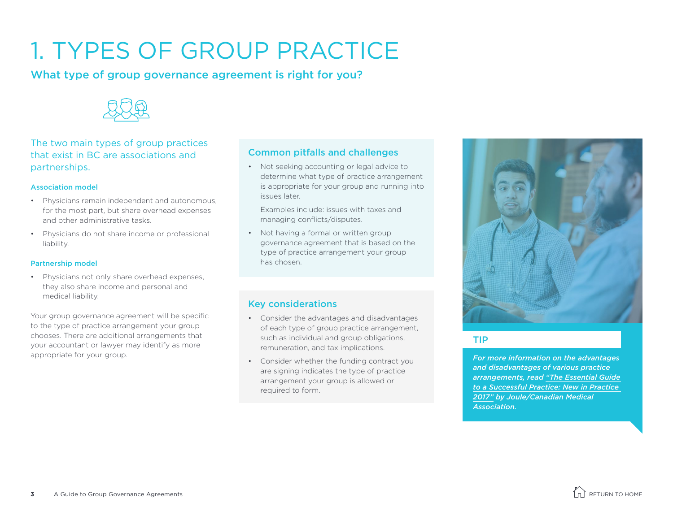# <span id="page-2-0"></span>1. TYPES OF GROUP PRACTICE

What type of group governance agreement is right for you?



#### The two main types of group practices that exist in BC are associations and partnerships.

#### Association model

- Physicians remain independent and autonomous, for the most part, but share overhead expenses and other administrative tasks.
- Physicians do not share income or professional liability.

#### Partnership model

• Physicians not only share overhead expenses, they also share income and personal and medical liability.

Your group governance agreement will be specific to the type of practice arrangement your group chooses. There are additional arrangements that your accountant or lawyer may identify as more appropriate for your group.

#### Common pitfalls and challenges

• Not seeking accounting or legal advice to determine what type of practice arrangement is appropriate for your group and running into issues later.

Examples include: issues with taxes and managing conflicts/disputes.

• Not having a formal or written group governance agreement that is based on the type of practice arrangement your group has chosen.

#### Key considerations

- Consider the advantages and disadvantages of each type of group practice arrangement, such as individual and group obligations, remuneration, and tax implications.
- Consider whether the funding contract you are signing indicates the type of practice arrangement your group is allowed or required to form.



#### TIP

*For more information on the advantages and disadvantages of various practice arrangements, read ["The Essential Guide](https://static1.squarespace.com/static/5579c0d2e4b0bc473a051b07/t/5bfda5731ae6cf259c81862c/1543349640131/New_in_Practice_Guide_2017.pdf)  [to a Successful Practice: New in Practice](https://static1.squarespace.com/static/5579c0d2e4b0bc473a051b07/t/5bfda5731ae6cf259c81862c/1543349640131/New_in_Practice_Guide_2017.pdf)  [2017"](https://static1.squarespace.com/static/5579c0d2e4b0bc473a051b07/t/5bfda5731ae6cf259c81862c/1543349640131/New_in_Practice_Guide_2017.pdf) by Joule/Canadian Medical Association.* 

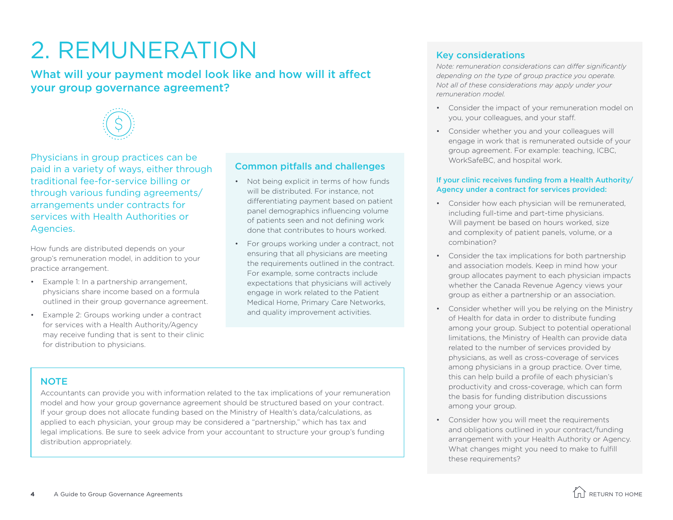# <span id="page-3-0"></span>2. REMUNERATION

### What will your payment model look like and how will it affect your group governance agreement?



Physicians in group practices can be paid in a variety of ways, either through traditional fee-for-service billing or through various funding agreements/ arrangements under contracts for services with Health Authorities or Agencies.

How funds are distributed depends on your group's remuneration model, in addition to your practice arrangement.

- Example 1: In a partnership arrangement, physicians share income based on a formula outlined in their group governance agreement.
- Example 2: Groups working under a contract for services with a Health Authority/Agency may receive funding that is sent to their clinic for distribution to physicians.

#### Common pitfalls and challenges

- Not being explicit in terms of how funds will be distributed. For instance, not differentiating payment based on patient panel demographics influencing volume of patients seen and not defining work done that contributes to hours worked.
- For groups working under a contract, not ensuring that all physicians are meeting the requirements outlined in the contract. For example, some contracts include expectations that physicians will actively engage in work related to the Patient Medical Home, Primary Care Networks, and quality improvement activities.

#### Key considerations

*Note: remuneration considerations can differ significantly depending on the type of group practice you operate. Not all of these considerations may apply under your remuneration model.*

- Consider the impact of your remuneration model on you, your colleagues, and your staff.
- Consider whether you and your colleagues will engage in work that is remunerated outside of your group agreement. For example: teaching, ICBC, WorkSafeBC, and hospital work.

#### If your clinic receives funding from a Health Authority/ Agency under a contract for services provided:

- Consider how each physician will be remunerated, including full-time and part-time physicians. Will payment be based on hours worked, size and complexity of patient panels, volume, or a combination?
- Consider the tax implications for both partnership and association models. Keep in mind how your group allocates payment to each physician impacts whether the Canada Revenue Agency views your group as either a partnership or an association.
- Consider whether will you be relying on the Ministry of Health for data in order to distribute funding among your group. Subject to potential operational limitations, the Ministry of Health can provide data related to the number of services provided by physicians, as well as cross-coverage of services among physicians in a group practice. Over time, this can help build a profile of each physician's productivity and cross-coverage, which can form the basis for funding distribution discussions among your group.
- Consider how you will meet the requirements and obligations outlined in your contract/funding arrangement with your Health Authority or Agency. What changes might you need to make to fulfill these requirements?

#### **NOTE**

Accountants can provide you with information related to the tax implications of your remuneration model and how your group governance agreement should be structured based on your contract. If your group does not allocate funding based on the Ministry of Health's data/calculations, as applied to each physician, your group may be considered a "partnership," which has tax and legal implications. Be sure to seek advice from your accountant to structure your group's funding distribution appropriately.

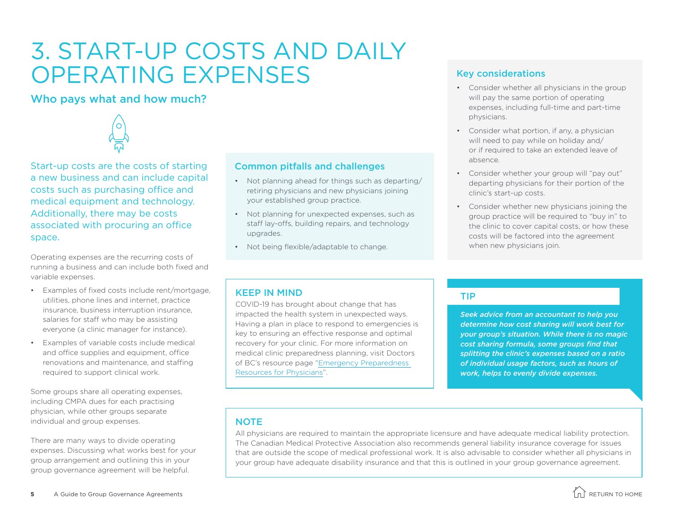## <span id="page-4-0"></span>3. START-UP COSTS AND DAILY OPERATING EXPENSES

### Who pays what and how much?



Start-up costs are the costs of starting a new business and can include capital costs such as purchasing office and medical equipment and technology. Additionally, there may be costs associated with procuring an office space.

Operating expenses are the recurring costs of running a business and can include both fixed and variable expenses.

- Examples of fixed costs include rent/mortgage, utilities, phone lines and internet, practice insurance, business interruption insurance, salaries for staff who may be assisting everyone (a clinic manager for instance).
- Examples of variable costs include medical and office supplies and equipment, office renovations and maintenance, and staffing required to support clinical work.

Some groups share all operating expenses, including CMPA dues for each practising physician, while other groups separate individual and group expenses.

There are many ways to divide operating expenses. Discussing what works best for your group arrangement and outlining this in your group governance agreement will be helpful.

#### Common pitfalls and challenges

- Not planning ahead for things such as departing/ retiring physicians and new physicians joining your established group practice.
- Not planning for unexpected expenses, such as staff lay-offs, building repairs, and technology upgrades.
- Not being flexible/adaptable to change.

#### Key considerations

- Consider whether all physicians in the group will pay the same portion of operating expenses, including full-time and part-time physicians.
- Consider what portion, if any, a physician will need to pay while on holiday and/ or if required to take an extended leave of absence.
- Consider whether your group will "pay out" departing physicians for their portion of the clinic's start-up costs.
- Consider whether new physicians joining the group practice will be required to "buy in" to the clinic to cover capital costs, or how these costs will be factored into the agreement when new physicians join.

#### KEEP IN MIND

COVID-19 has brought about change that has impacted the health system in unexpected ways. Having a plan in place to respond to emergencies is key to ensuring an effective response and optimal recovery for your clinic. For more information on medical clinic preparedness planning, visit Doctors of BC's resource page ["Emergency Preparedness](https://www.doctorsofbc.ca/resource-centre/physicians/emergency-preparedness-resources-physicians)  [Resources for Physicians](https://www.doctorsofbc.ca/resource-centre/physicians/emergency-preparedness-resources-physicians)".

#### TIP

*Seek advice from an accountant to help you determine how cost sharing will work best for your group's situation. While there is no magic cost sharing formula, some groups find that splitting the clinic's expenses based on a ratio of individual usage factors, such as hours of work, helps to evenly divide expenses.* 

#### **NOTE**

All physicians are required to maintain the appropriate licensure and have adequate medical liability protection. The Canadian Medical Protective Association also recommends general liability insurance coverage for issues that are outside the scope of medical professional work. It is also advisable to consider whether all physicians in your group have adequate disability insurance and that this is outlined in your group governance agreement.

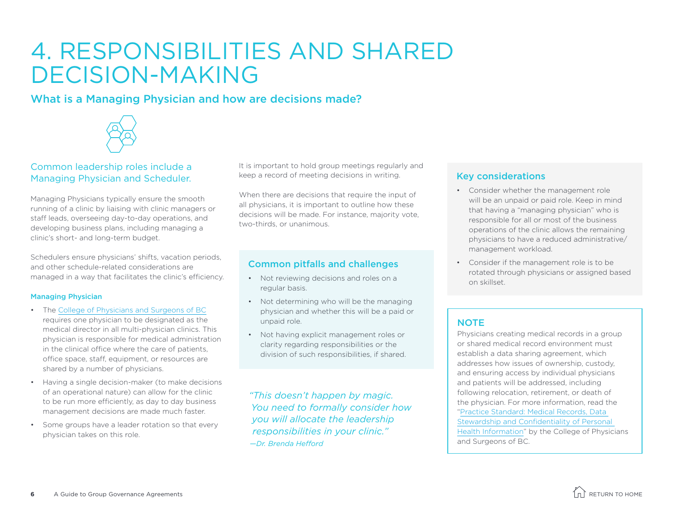### <span id="page-5-0"></span>4. RESPONSIBILITIES AND SHARED DECISION-MAKING

### What is a Managing Physician and how are decisions made?



#### Common leadership roles include a Managing Physician and Scheduler.

Managing Physicians typically ensure the smooth running of a clinic by liaising with clinic managers or staff leads, overseeing day-to-day operations, and developing business plans, including managing a clinic's short- and long-term budget.

Schedulers ensure physicians' shifts, vacation periods, and other schedule-related considerations are managed in a way that facilitates the clinic's efficiency.

#### Managing Physician

- The [College of Physicians and Surgeons of BC](https://www.cpsbc.ca/files/pdf/PPEP-AS-Medical-Director-Solo-practice-Physician.pdf) requires one physician to be designated as the medical director in all multi-physician clinics. This physician is responsible for medical administration in the clinical office where the care of patients, office space, staff, equipment, or resources are shared by a number of physicians.
- Having a single decision-maker (to make decisions of an operational nature) can allow for the clinic to be run more efficiently, as day to day business management decisions are made much faster.
- Some groups have a leader rotation so that every physician takes on this role.

It is important to hold group meetings regularly and keep a record of meeting decisions in writing.

When there are decisions that require the input of all physicians, it is important to outline how these decisions will be made. For instance, majority vote, two-thirds, or unanimous.

#### Common pitfalls and challenges

- Not reviewing decisions and roles on a regular basis.
- Not determining who will be the managing physician and whether this will be a paid or unpaid role.
- Not having explicit management roles or clarity regarding responsibilities or the division of such responsibilities, if shared.

*"This doesn't happen by magic. You need to formally consider how you will allocate the leadership responsibilities in your clinic." —Dr. Brenda Hefford*

#### Key considerations

- Consider whether the management role will be an unpaid or paid role. Keep in mind that having a "managing physician" who is responsible for all or most of the business operations of the clinic allows the remaining physicians to have a reduced administrative/ management workload.
- Consider if the management role is to be rotated through physicians or assigned based on skillset.

#### **NOTE**

Physicians creating medical records in a group or shared medical record environment must establish a data sharing agreement, which addresses how issues of ownership, custody, and ensuring access by individual physicians and patients will be addressed, including following relocation, retirement, or death of the physician. For more information, read the "[Practice Standard: Medical Records, Data](https://www.cpsbc.ca/files/pdf/PSG-Medical-Records.pdf)  [Stewardship and Confidentiality of Personal](https://www.cpsbc.ca/files/pdf/PSG-Medical-Records.pdf)  [Health Information](https://www.cpsbc.ca/files/pdf/PSG-Medical-Records.pdf)" by the College of Physicians and Surgeons of BC.

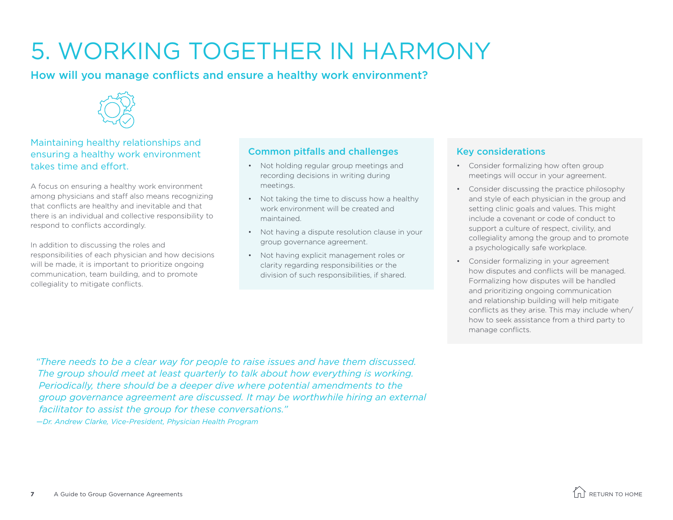# <span id="page-6-0"></span>5. WORKING TOGETHER IN HARMONY

How will you manage conflicts and ensure a healthy work environment?



#### Maintaining healthy relationships and ensuring a healthy work environment takes time and effort.

A focus on ensuring a healthy work environment among physicians and staff also means recognizing that conflicts are healthy and inevitable and that there is an individual and collective responsibility to respond to conflicts accordingly.

In addition to discussing the roles and responsibilities of each physician and how decisions will be made, it is important to prioritize ongoing communication, team building, and to promote collegiality to mitigate conflicts.

#### Common pitfalls and challenges

- Not holding regular group meetings and recording decisions in writing during meetings.
- Not taking the time to discuss how a healthy work environment will be created and maintained.
- Not having a dispute resolution clause in your group governance agreement.
- Not having explicit management roles or clarity regarding responsibilities or the division of such responsibilities, if shared.

#### Key considerations

- Consider formalizing how often group meetings will occur in your agreement.
- Consider discussing the practice philosophy and style of each physician in the group and setting clinic goals and values. This might include a covenant or code of conduct to support a culture of respect, civility, and collegiality among the group and to promote a psychologically safe workplace.
- Consider formalizing in your agreement how disputes and conflicts will be managed. Formalizing how disputes will be handled and prioritizing ongoing communication and relationship building will help mitigate conflicts as they arise. This may include when/ how to seek assistance from a third party to manage conflicts.

*"There needs to be a clear way for people to raise issues and have them discussed. The group should meet at least quarterly to talk about how everything is working. Periodically, there should be a deeper dive where potential amendments to the group governance agreement are discussed. It may be worthwhile hiring an external facilitator to assist the group for these conversations."* 

*—Dr. Andrew Clarke, Vice-President, Physician Health Program*

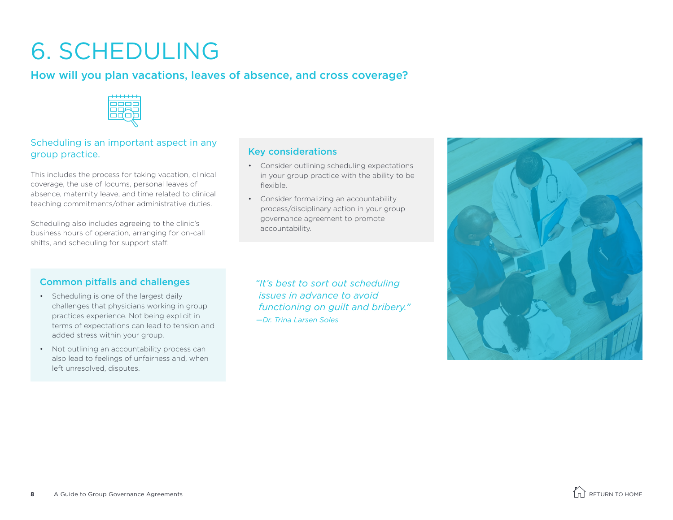# <span id="page-7-0"></span>6. SCHEDULING

### How will you plan vacations, leaves of absence, and cross coverage?



#### Scheduling is an important aspect in any group practice.

This includes the process for taking vacation, clinical coverage, the use of locums, personal leaves of absence, maternity leave, and time related to clinical teaching commitments/other administrative duties.

Scheduling also includes agreeing to the clinic's business hours of operation, arranging for on-call shifts, and scheduling for support staff.

#### Common pitfalls and challenges

- Scheduling is one of the largest daily challenges that physicians working in group practices experience. Not being explicit in terms of expectations can lead to tension and added stress within your group.
- Not outlining an accountability process can also lead to feelings of unfairness and, when left unresolved, disputes.

*"It's best to sort out scheduling issues in advance to avoid functioning on guilt and bribery." —Dr. Trina Larsen Soles*

• Consider outlining scheduling expectations in your group practice with the ability to be

• Consider formalizing an accountability process/disciplinary action in your group governance agreement to promote

Key considerations

flexible.

accountability.



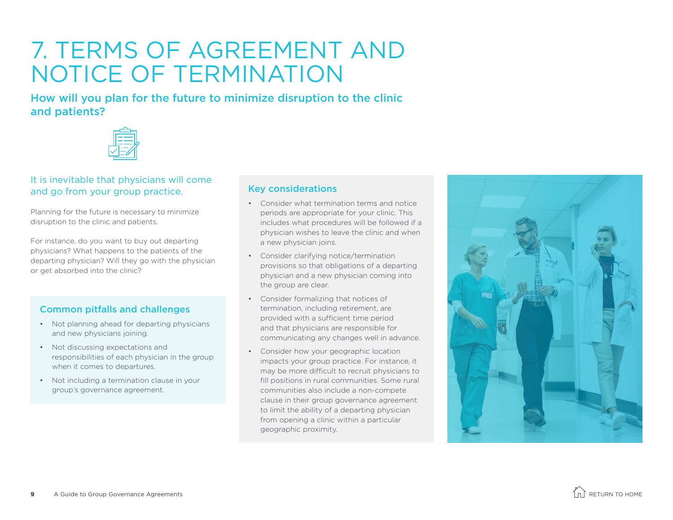### <span id="page-8-0"></span>7. TERMS OF AGREEMENT AND NOTICE OF TERMINATION

How will you plan for the future to minimize disruption to the clinic and patients?



#### It is inevitable that physicians will come and go from your group practice.

Planning for the future is necessary to minimize disruption to the clinic and patients.

For instance, do you want to buy out departing physicians? What happens to the patients of the departing physician? Will they go with the physician or get absorbed into the clinic?

#### Common pitfalls and challenges

- Not planning ahead for departing physicians and new physicians joining.
- Not discussing expectations and responsibilities of each physician in the group when it comes to departures.
- Not including a termination clause in your group's governance agreement.

#### Key considerations

- Consider what termination terms and notice periods are appropriate for your clinic. This includes what procedures will be followed if a physician wishes to leave the clinic and when a new physician joins.
- Consider clarifying notice/termination provisions so that obligations of a departing physician and a new physician coming into the group are clear.
- Consider formalizing that notices of termination, including retirement, are provided with a sufficient time period and that physicians are responsible for communicating any changes well in advance.
- Consider how your geographic location impacts your group practice. For instance, it may be more difficult to recruit physicians to fill positions in rural communities. Some rural communities also include a non-compete clause in their group governance agreement to limit the ability of a departing physician from opening a clinic within a particular geographic proximity.



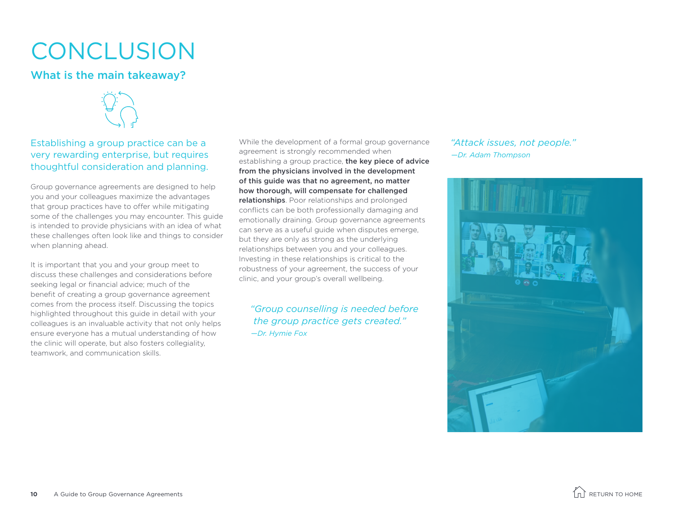## <span id="page-9-0"></span>**CONCLUSION**

### What is the main takeaway?



Establishing a group practice can be a very rewarding enterprise, but requires thoughtful consideration and planning.

Group governance agreements are designed to help you and your colleagues maximize the advantages that group practices have to offer while mitigating some of the challenges you may encounter. This guide is intended to provide physicians with an idea of what these challenges often look like and things to consider when planning ahead.

It is important that you and your group meet to discuss these challenges and considerations before seeking legal or financial advice; much of the benefit of creating a group governance agreement comes from the process itself. Discussing the topics highlighted throughout this guide in detail with your colleagues is an invaluable activity that not only helps ensure everyone has a mutual understanding of how the clinic will operate, but also fosters collegiality, teamwork, and communication skills.

While the development of a formal group governance agreement is strongly recommended when establishing a group practice, the key piece of advice from the physicians involved in the development of this guide was that no agreement, no matter how thorough, will compensate for challenged relationships. Poor relationships and prolonged conflicts can be both professionally damaging and emotionally draining. Group governance agreements can serve as a useful guide when disputes emerge, but they are only as strong as the underlying relationships between you and your colleagues. Investing in these relationships is critical to the robustness of your agreement, the success of your clinic, and your group's overall wellbeing.

*"Group counselling is needed before the group practice gets created." —Dr. Hymie Fox*

*"Attack issues, not people." —Dr. Adam Thompson*